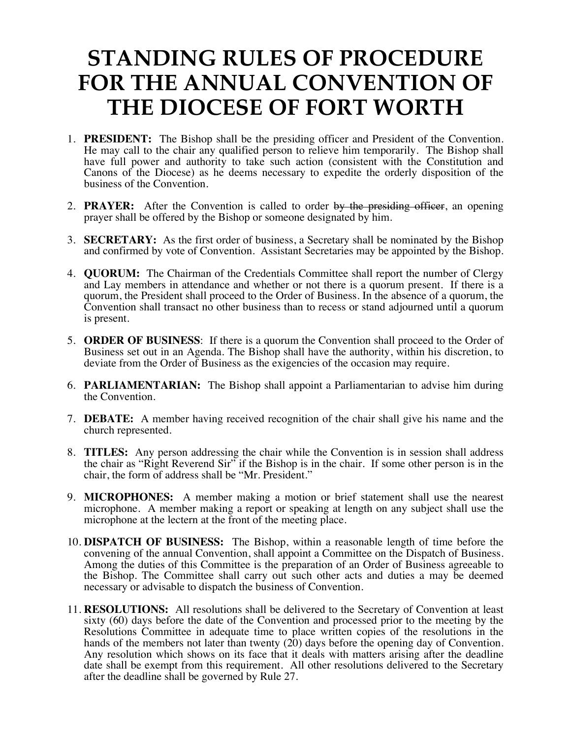## **STANDING RULES OF PROCEDURE FOR THE ANNUAL CONVENTION OF THE DIOCESE OF FORT WORTH**

- 1. **PRESIDENT:** The Bishop shall be the presiding officer and President of the Convention. He may call to the chair any qualified person to relieve him temporarily. The Bishop shall have full power and authority to take such action (consistent with the Constitution and Canons of the Diocese) as he deems necessary to expedite the orderly disposition of the business of the Convention.
- 2. **PRAYER:** After the Convention is called to order by the presiding officer, an opening prayer shall be offered by the Bishop or someone designated by him.
- 3. **SECRETARY:** As the first order of business, a Secretary shall be nominated by the Bishop and confirmed by vote of Convention. Assistant Secretaries may be appointed by the Bishop.
- 4. **QUORUM:** The Chairman of the Credentials Committee shall report the number of Clergy and Lay members in attendance and whether or not there is a quorum present. If there is a quorum, the President shall proceed to the Order of Business. In the absence of a quorum, the Convention shall transact no other business than to recess or stand adjourned until a quorum is present.
- 5. **ORDER OF BUSINESS**: If there is a quorum the Convention shall proceed to the Order of Business set out in an Agenda. The Bishop shall have the authority, within his discretion, to deviate from the Order of Business as the exigencies of the occasion may require.
- 6. **PARLIAMENTARIAN:** The Bishop shall appoint a Parliamentarian to advise him during the Convention.
- 7. **DEBATE:** A member having received recognition of the chair shall give his name and the church represented.
- 8. **TITLES:** Any person addressing the chair while the Convention is in session shall address the chair as "Right Reverend Sir" if the Bishop is in the chair. If some other person is in the chair, the form of address shall be "Mr. President."
- 9. **MICROPHONES:** A member making a motion or brief statement shall use the nearest microphone. A member making a report or speaking at length on any subject shall use the microphone at the lectern at the front of the meeting place.
- 10. **DISPATCH OF BUSINESS:** The Bishop, within a reasonable length of time before the convening of the annual Convention, shall appoint a Committee on the Dispatch of Business. Among the duties of this Committee is the preparation of an Order of Business agreeable to the Bishop. The Committee shall carry out such other acts and duties a may be deemed necessary or advisable to dispatch the business of Convention.
- 11. **RESOLUTIONS:** All resolutions shall be delivered to the Secretary of Convention at least sixty (60) days before the date of the Convention and processed prior to the meeting by the Resolutions Committee in adequate time to place written copies of the resolutions in the hands of the members not later than twenty (20) days before the opening day of Convention. Any resolution which shows on its face that it deals with matters arising after the deadline date shall be exempt from this requirement. All other resolutions delivered to the Secretary after the deadline shall be governed by Rule 27.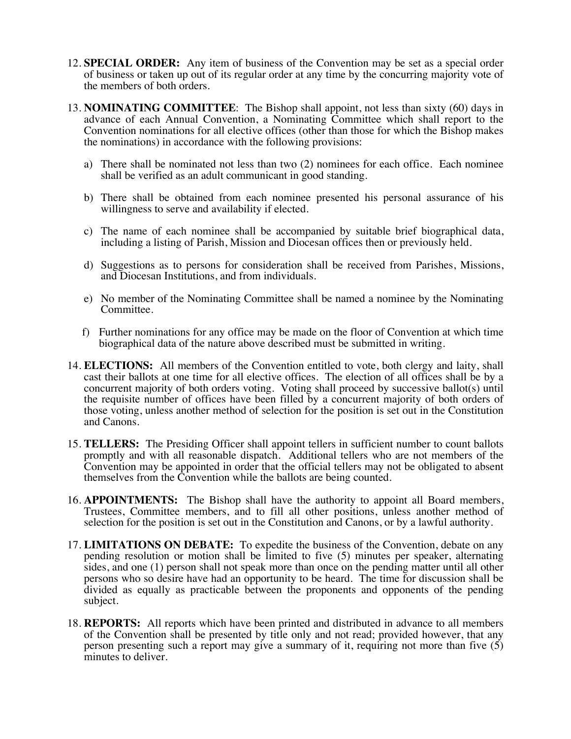- 12. **SPECIAL ORDER:** Any item of business of the Convention may be set as a special order of business or taken up out of its regular order at any time by the concurring majority vote of the members of both orders.
- 13. **NOMINATING COMMITTEE**: The Bishop shall appoint, not less than sixty (60) days in advance of each Annual Convention, a Nominating Committee which shall report to the Convention nominations for all elective offices (other than those for which the Bishop makes the nominations) in accordance with the following provisions:
	- a) There shall be nominated not less than two (2) nominees for each office. Each nominee shall be verified as an adult communicant in good standing.
	- b) There shall be obtained from each nominee presented his personal assurance of his willingness to serve and availability if elected.
	- c) The name of each nominee shall be accompanied by suitable brief biographical data, including a listing of Parish, Mission and Diocesan offices then or previously held.
	- d) Suggestions as to persons for consideration shall be received from Parishes, Missions, and Diocesan Institutions, and from individuals.
	- e) No member of the Nominating Committee shall be named a nominee by the Nominating Committee.
	- f) Further nominations for any office may be made on the floor of Convention at which time biographical data of the nature above described must be submitted in writing.
- 14. **ELECTIONS:** All members of the Convention entitled to vote, both clergy and laity, shall cast their ballots at one time for all elective offices. The election of all offices shall be by a concurrent majority of both orders voting. Voting shall proceed by successive ballot(s) until the requisite number of offices have been filled by a concurrent majority of both orders of those voting, unless another method of selection for the position is set out in the Constitution and Canons.
- 15. **TELLERS:** The Presiding Officer shall appoint tellers in sufficient number to count ballots promptly and with all reasonable dispatch. Additional tellers who are not members of the Convention may be appointed in order that the official tellers may not be obligated to absent themselves from the Convention while the ballots are being counted.
- 16. **APPOINTMENTS:** The Bishop shall have the authority to appoint all Board members, Trustees, Committee members, and to fill all other positions, unless another method of selection for the position is set out in the Constitution and Canons, or by a lawful authority.
- 17. **LIMITATIONS ON DEBATE:** To expedite the business of the Convention, debate on any pending resolution or motion shall be limited to five (5) minutes per speaker, alternating sides, and one (1) person shall not speak more than once on the pending matter until all other persons who so desire have had an opportunity to be heard. The time for discussion shall be divided as equally as practicable between the proponents and opponents of the pending subject.
- 18. **REPORTS:** All reports which have been printed and distributed in advance to all members of the Convention shall be presented by title only and not read; provided however, that any person presenting such a report may give a summary of it, requiring not more than five (5) minutes to deliver.